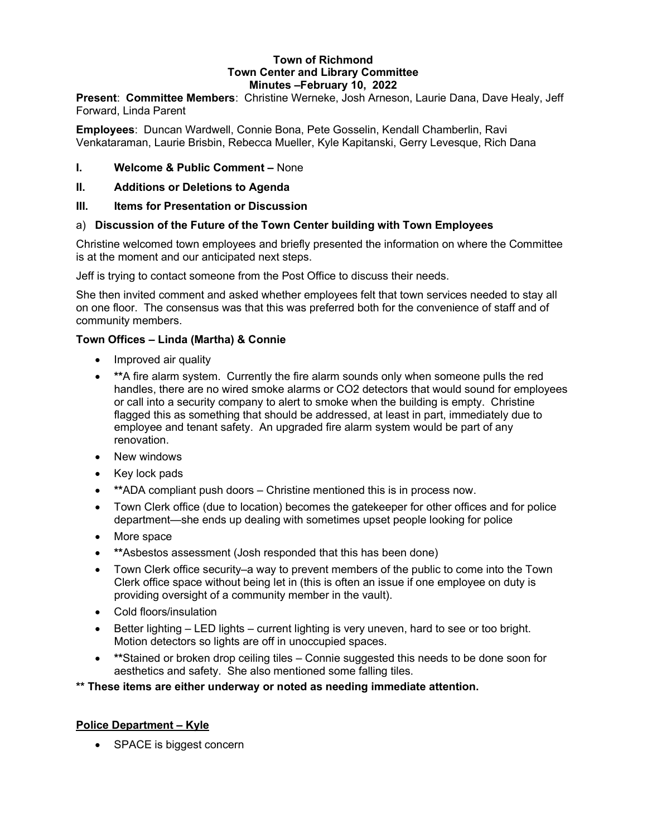#### Town of Richmond Town Center and Library Committee Minutes –February 10, 2022

Present: Committee Members: Christine Werneke, Josh Arneson, Laurie Dana, Dave Healy, Jeff Forward, Linda Parent

Employees: Duncan Wardwell, Connie Bona, Pete Gosselin, Kendall Chamberlin, Ravi Venkataraman, Laurie Brisbin, Rebecca Mueller, Kyle Kapitanski, Gerry Levesque, Rich Dana

# I. Welcome & Public Comment – None

- II. Additions or Deletions to Agenda
- III. Items for Presentation or Discussion

# a) Discussion of the Future of the Town Center building with Town Employees

Christine welcomed town employees and briefly presented the information on where the Committee is at the moment and our anticipated next steps.

Jeff is trying to contact someone from the Post Office to discuss their needs.

She then invited comment and asked whether employees felt that town services needed to stay all on one floor. The consensus was that this was preferred both for the convenience of staff and of community members.

# Town Offices – Linda (Martha) & Connie

- Improved air quality
- **\*\*A fire alarm system. Currently the fire alarm sounds only when someone pulls the red** handles, there are no wired smoke alarms or CO2 detectors that would sound for employees or call into a security company to alert to smoke when the building is empty. Christine flagged this as something that should be addressed, at least in part, immediately due to employee and tenant safety. An upgraded fire alarm system would be part of any renovation.
- New windows
- Key lock pads
- **\*\***ADA compliant push doors Christine mentioned this is in process now.
- Town Clerk office (due to location) becomes the gatekeeper for other offices and for police department—she ends up dealing with sometimes upset people looking for police
- More space
- \*\*Asbestos assessment (Josh responded that this has been done)
- Town Clerk office security–a way to prevent members of the public to come into the Town Clerk office space without being let in (this is often an issue if one employee on duty is providing oversight of a community member in the vault).
- Cold floors/insulation
- Better lighting LED lights current lighting is very uneven, hard to see or too bright. Motion detectors so lights are off in unoccupied spaces.
- \*\*Stained or broken drop ceiling tiles Connie suggested this needs to be done soon for aesthetics and safety. She also mentioned some falling tiles.

\*\* These items are either underway or noted as needing immediate attention.

# Police Department – Kyle

• SPACE is biggest concern